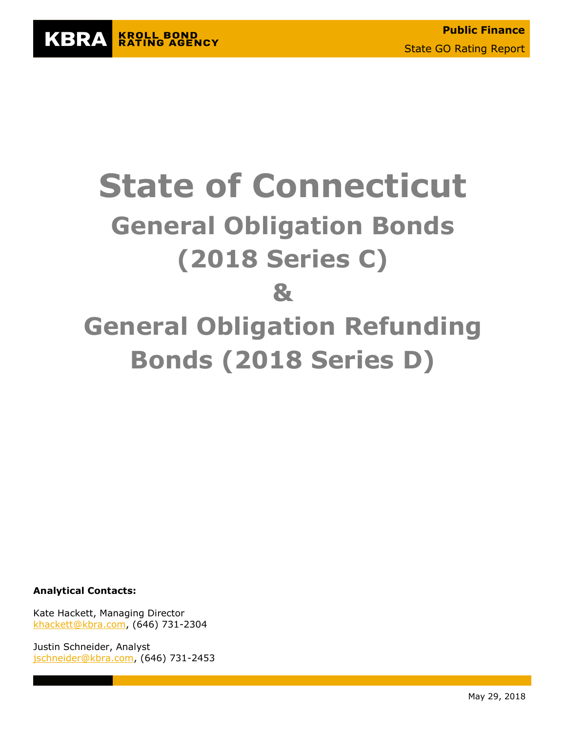

# **State of Connecticut General Obligation Bonds (2018 Series C) & General Obligation Refunding Bonds (2018 Series D)**

**Analytical Contacts:**

Kate Hackett, Managing Director [khackett@kbra.com,](mailto:khackett@kbra.com) (646) 731-2304

Justin Schneider, Analyst [jschneider@kbra.com,](mailto:jschneider@kbra.com) (646) 731-2453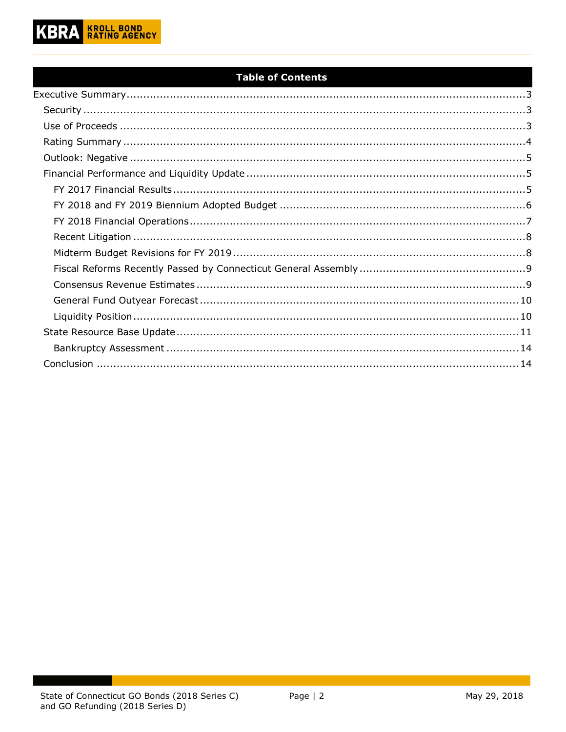

#### **Table of Contents**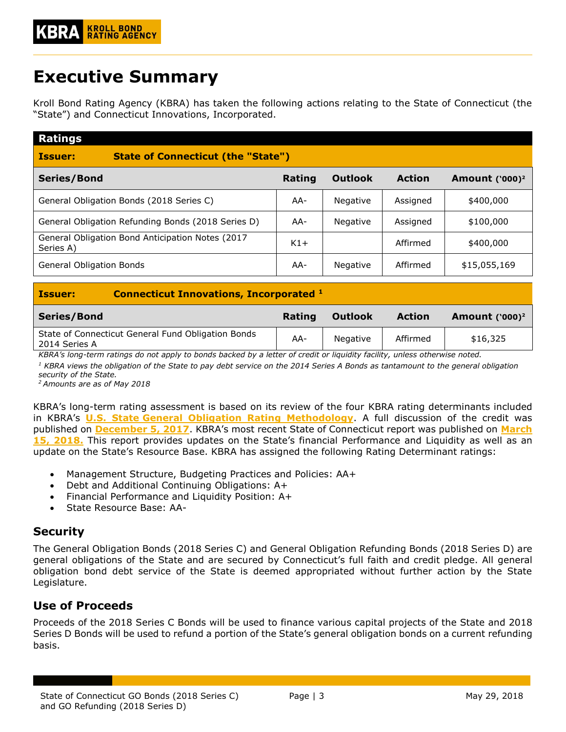# <span id="page-2-0"></span>**Executive Summary**

Kroll Bond Rating Agency (KBRA) has taken the following actions relating to the State of Connecticut (the "State") and Connecticut Innovations, Incorporated.

| <b>Ratings</b>                                                |        |                |               |                            |
|---------------------------------------------------------------|--------|----------------|---------------|----------------------------|
| <b>State of Connecticut (the "State")</b><br><b>Issuer:</b>   |        |                |               |                            |
| Series/Bond                                                   | Rating | <b>Outlook</b> | <b>Action</b> | Amount ('000) <sup>2</sup> |
| General Obligation Bonds (2018 Series C)                      | AA-    | Negative       | Assigned      | \$400,000                  |
| General Obligation Refunding Bonds (2018 Series D)            | AA-    | Negative       | Assigned      | \$100,000                  |
| General Obligation Bond Anticipation Notes (2017<br>Series A) | $K1+$  |                | Affirmed      | \$400,000                  |
| General Obligation Bonds                                      | AA-    | Negative       | Affirmed      | \$15,055,169               |

| <b>Issuer:</b>     | <b>Connecticut Innovations, Incorporated 1</b>     |        |                |               |                  |  |  |  |  |  |
|--------------------|----------------------------------------------------|--------|----------------|---------------|------------------|--|--|--|--|--|
| <b>Series/Bond</b> |                                                    | Rating | <b>Outlook</b> | <b>Action</b> | Amount $(200)^2$ |  |  |  |  |  |
| 2014 Series A      | State of Connecticut General Fund Obligation Bonds | AA-    | Negative       | Affirmed      | \$16,325         |  |  |  |  |  |

*KBRA's long-term ratings do not apply to bonds backed by a letter of credit or liquidity facility, unless otherwise noted.*

*<sup>1</sup> KBRA views the obligation of the State to pay debt service on the 2014 Series A Bonds as tantamount to the general obligation security of the State.*

*<sup>2</sup>Amounts are as of May 2018*

KBRA's long-term rating assessment is based on its review of the four KBRA rating determinants included in KBRA's **U.S. State [General Obligation Rating Methodology](http://www.krollbondratings.com/show_report/74)**. A full discussion of the credit was published on **[December 5, 2017](https://www.krollbondratings.com/show_report/8350)**. KBRA's most recent State of Connecticut report was published on **[March](https://www.krollbondratings.com/show_report/9032)  [15, 2018.](https://www.krollbondratings.com/show_report/9032)** This report provides updates on the State's financial Performance and Liquidity as well as an update on the State's Resource Base. KBRA has assigned the following Rating Determinant ratings:

- Management Structure, Budgeting Practices and Policies: AA+
- Debt and Additional Continuing Obligations: A+
- Financial Performance and Liquidity Position: A+
- State Resource Base: AA-

# <span id="page-2-1"></span>**Security**

The General Obligation Bonds (2018 Series C) and General Obligation Refunding Bonds (2018 Series D) are general obligations of the State and are secured by Connecticut's full faith and credit pledge. All general obligation bond debt service of the State is deemed appropriated without further action by the State Legislature.

# <span id="page-2-2"></span>**Use of Proceeds**

Proceeds of the 2018 Series C Bonds will be used to finance various capital projects of the State and 2018 Series D Bonds will be used to refund a portion of the State's general obligation bonds on a current refunding basis.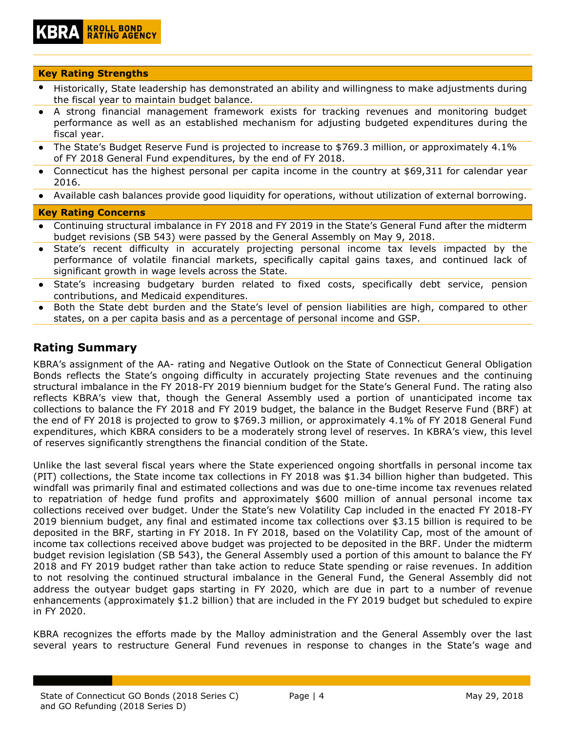# **KROLL BOND<br>RATING AGENCY**

#### **Key Rating Strengths**

- Historically, State leadership has demonstrated an ability and willingness to make adjustments during the fiscal year to maintain budget balance.
- A strong financial management framework exists for tracking revenues and monitoring budget performance as well as an established mechanism for adjusting budgeted expenditures during the fiscal year.
- The State's Budget Reserve Fund is projected to increase to \$769.3 million, or approximately 4.1% of FY 2018 General Fund expenditures, by the end of FY 2018.
- Connecticut has the highest personal per capita income in the country at \$69,311 for calendar year 2016.
- Available cash balances provide good liquidity for operations, without utilization of external borrowing.

#### **Key Rating Concerns**

- Continuing structural imbalance in FY 2018 and FY 2019 in the State's General Fund after the midterm budget revisions (SB 543) were passed by the General Assembly on May 9, 2018.
- State's recent difficulty in accurately projecting personal income tax levels impacted by the performance of volatile financial markets, specifically capital gains taxes, and continued lack of significant growth in wage levels across the State.
- State's increasing budgetary burden related to fixed costs, specifically debt service, pension contributions, and Medicaid expenditures.
- Both the State debt burden and the State's level of pension liabilities are high, compared to other states, on a per capita basis and as a percentage of personal income and GSP.

### <span id="page-3-0"></span>**Rating Summary**

KBRA's assignment of the AA- rating and Negative Outlook on the State of Connecticut General Obligation Bonds reflects the State's ongoing difficulty in accurately projecting State revenues and the continuing structural imbalance in the FY 2018-FY 2019 biennium budget for the State's General Fund. The rating also reflects KBRA's view that, though the General Assembly used a portion of unanticipated income tax collections to balance the FY 2018 and FY 2019 budget, the balance in the Budget Reserve Fund (BRF) at the end of FY 2018 is projected to grow to \$769.3 million, or approximately 4.1% of FY 2018 General Fund expenditures, which KBRA considers to be a moderately strong level of reserves. In KBRA's view, this level of reserves significantly strengthens the financial condition of the State.

Unlike the last several fiscal years where the State experienced ongoing shortfalls in personal income tax (PIT) collections, the State income tax collections in FY 2018 was \$1.34 billion higher than budgeted. This windfall was primarily final and estimated collections and was due to one-time income tax revenues related to repatriation of hedge fund profits and approximately \$600 million of annual personal income tax collections received over budget. Under the State's new Volatility Cap included in the enacted FY 2018-FY 2019 biennium budget, any final and estimated income tax collections over \$3.15 billion is required to be deposited in the BRF, starting in FY 2018. In FY 2018, based on the Volatility Cap, most of the amount of income tax collections received above budget was projected to be deposited in the BRF. Under the midterm budget revision legislation (SB 543), the General Assembly used a portion of this amount to balance the FY 2018 and FY 2019 budget rather than take action to reduce State spending or raise revenues. In addition to not resolving the continued structural imbalance in the General Fund, the General Assembly did not address the outyear budget gaps starting in FY 2020, which are due in part to a number of revenue enhancements (approximately \$1.2 billion) that are included in the FY 2019 budget but scheduled to expire in FY 2020.

KBRA recognizes the efforts made by the Malloy administration and the General Assembly over the last several years to restructure General Fund revenues in response to changes in the State's wage and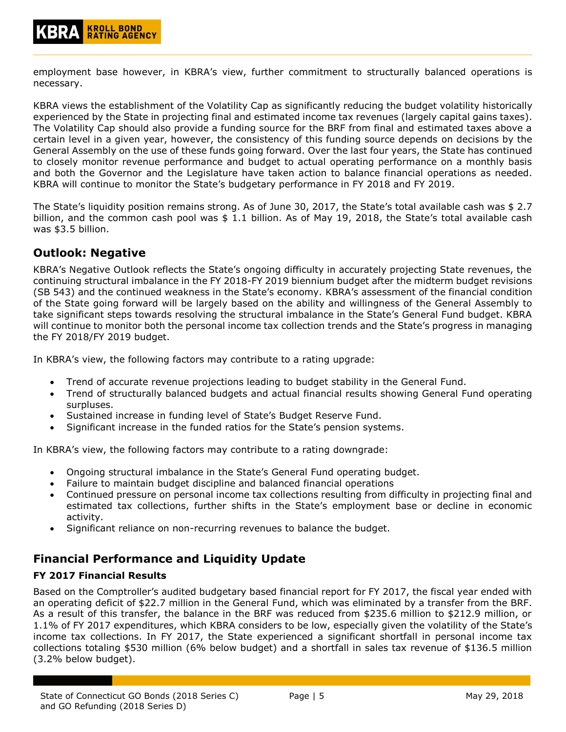employment base however, in KBRA's view, further commitment to structurally balanced operations is necessary.

KBRA views the establishment of the Volatility Cap as significantly reducing the budget volatility historically experienced by the State in projecting final and estimated income tax revenues (largely capital gains taxes). The Volatility Cap should also provide a funding source for the BRF from final and estimated taxes above a certain level in a given year, however, the consistency of this funding source depends on decisions by the General Assembly on the use of these funds going forward. Over the last four years, the State has continued to closely monitor revenue performance and budget to actual operating performance on a monthly basis and both the Governor and the Legislature have taken action to balance financial operations as needed. KBRA will continue to monitor the State's budgetary performance in FY 2018 and FY 2019.

The State's liquidity position remains strong. As of June 30, 2017, the State's total available cash was \$ 2.7 billion, and the common cash pool was  $$ 1.1$  billion. As of May 19, 2018, the State's total available cash was \$3.5 billion.

# <span id="page-4-0"></span>**Outlook: Negative**

KBRA's Negative Outlook reflects the State's ongoing difficulty in accurately projecting State revenues, the continuing structural imbalance in the FY 2018-FY 2019 biennium budget after the midterm budget revisions (SB 543) and the continued weakness in the State's economy. KBRA's assessment of the financial condition of the State going forward will be largely based on the ability and willingness of the General Assembly to take significant steps towards resolving the structural imbalance in the State's General Fund budget. KBRA will continue to monitor both the personal income tax collection trends and the State's progress in managing the FY 2018/FY 2019 budget.

In KBRA's view, the following factors may contribute to a rating upgrade:

- Trend of accurate revenue projections leading to budget stability in the General Fund.
- Trend of structurally balanced budgets and actual financial results showing General Fund operating surpluses.
- Sustained increase in funding level of State's Budget Reserve Fund.
- Significant increase in the funded ratios for the State's pension systems.

In KBRA's view, the following factors may contribute to a rating downgrade:

- Ongoing structural imbalance in the State's General Fund operating budget.
- Failure to maintain budget discipline and balanced financial operations
- Continued pressure on personal income tax collections resulting from difficulty in projecting final and estimated tax collections, further shifts in the State's employment base or decline in economic activity.
- Significant reliance on non-recurring revenues to balance the budget.

# <span id="page-4-1"></span>**Financial Performance and Liquidity Update**

#### <span id="page-4-2"></span>**FY 2017 Financial Results**

Based on the Comptroller's audited budgetary based financial report for FY 2017, the fiscal year ended with an operating deficit of \$22.7 million in the General Fund, which was eliminated by a transfer from the BRF. As a result of this transfer, the balance in the BRF was reduced from \$235.6 million to \$212.9 million, or 1.1% of FY 2017 expenditures, which KBRA considers to be low, especially given the volatility of the State's income tax collections. In FY 2017, the State experienced a significant shortfall in personal income tax collections totaling \$530 million (6% below budget) and a shortfall in sales tax revenue of \$136.5 million (3.2% below budget).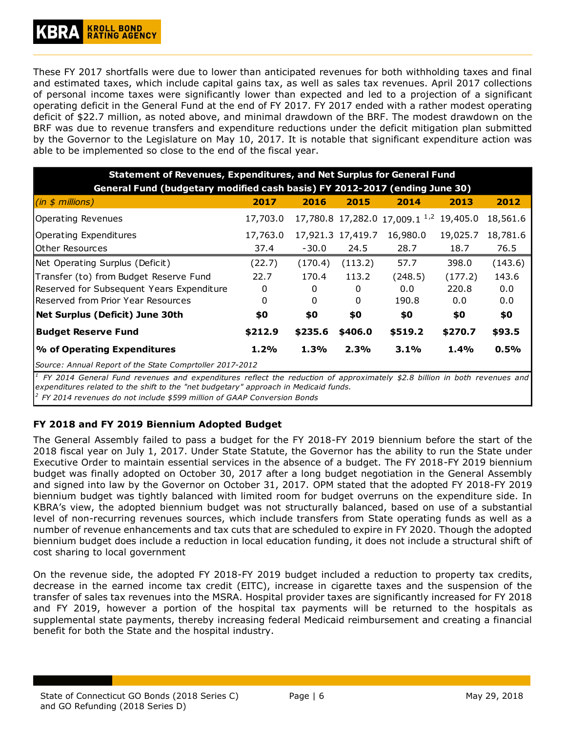These FY 2017 shortfalls were due to lower than anticipated revenues for both withholding taxes and final and estimated taxes, which include capital gains tax, as well as sales tax revenues. April 2017 collections of personal income taxes were significantly lower than expected and led to a projection of a significant operating deficit in the General Fund at the end of FY 2017. FY 2017 ended with a rather modest operating deficit of \$22.7 million, as noted above, and minimal drawdown of the BRF. The modest drawdown on the BRF was due to revenue transfers and expenditure reductions under the deficit mitigation plan submitted by the Governor to the Legislature on May 10, 2017. It is notable that significant expenditure action was able to be implemented so close to the end of the fiscal year.

| <b>Statement of Revenues, Expenditures, and Net Surplus for General Fund</b> |                                                                            |         |                   |                                           |          |          |  |  |  |  |  |  |
|------------------------------------------------------------------------------|----------------------------------------------------------------------------|---------|-------------------|-------------------------------------------|----------|----------|--|--|--|--|--|--|
|                                                                              | General Fund (budgetary modified cash basis) FY 2012-2017 (ending June 30) |         |                   |                                           |          |          |  |  |  |  |  |  |
| (in \$ millions)                                                             | 2017                                                                       | 2016    | 2015              | 2014                                      | 2013     | 2012     |  |  |  |  |  |  |
| Operating Revenues                                                           | 17,703.0                                                                   |         |                   | 17,780.8 17,282.0 17,009.1 <sup>1,2</sup> | 19,405.0 | 18,561.6 |  |  |  |  |  |  |
| Operating Expenditures                                                       | 17,763.0                                                                   |         | 17,921.3 17,419.7 | 16,980.0                                  | 19,025.7 | 18,781.6 |  |  |  |  |  |  |
| lOther Resources                                                             | 37.4                                                                       | $-30.0$ | 24.5              | 28.7                                      | 18.7     | 76.5     |  |  |  |  |  |  |
| Net Operating Surplus (Deficit)                                              | (22.7)                                                                     | (170.4) | (113.2)           | 57.7                                      | 398.0    | (143.6)  |  |  |  |  |  |  |
| Transfer (to) from Budget Reserve Fund                                       | 22.7                                                                       | 170.4   | 113.2             | (248.5)                                   | (177.2)  | 143.6    |  |  |  |  |  |  |
| Reserved for Subsequent Years Expenditure                                    | 0                                                                          | 0       | 0                 | 0.0                                       | 220.8    | 0.0      |  |  |  |  |  |  |
| Reserved from Prior Year Resources                                           | 0                                                                          | 0       | 0                 | 190.8                                     | 0.0      | 0.0      |  |  |  |  |  |  |
| Net Surplus (Deficit) June 30th                                              | \$0                                                                        | \$0     | \$0               | \$0                                       | \$0      | \$0      |  |  |  |  |  |  |
| <b>Budget Reserve Fund</b>                                                   | \$212.9                                                                    | \$235.6 | \$406.0           | \$519.2                                   | \$270.7  | \$93.5   |  |  |  |  |  |  |
| % of Operating Expenditures                                                  | 1.2%                                                                       | 1.3%    | 2.3%              | 3.1%                                      | 1.4%     | 0.5%     |  |  |  |  |  |  |
| Source: Annual Report of the State Comprtoller 2017-2012                     |                                                                            |         |                   |                                           |          |          |  |  |  |  |  |  |

*1* FY 2014 General Fund revenues and expenditures reflect the reduction of approximately \$2.8 billion in both revenues and *expenditures related to the shift to the "net budgetary" approach in Medicaid funds.*

*2 FY 2014 revenues do not include \$599 million of GAAP Conversion Bonds*

#### <span id="page-5-0"></span>**FY 2018 and FY 2019 Biennium Adopted Budget**

The General Assembly failed to pass a budget for the FY 2018-FY 2019 biennium before the start of the 2018 fiscal year on July 1, 2017. Under State Statute, the Governor has the ability to run the State under Executive Order to maintain essential services in the absence of a budget. The FY 2018-FY 2019 biennium budget was finally adopted on October 30, 2017 after a long budget negotiation in the General Assembly and signed into law by the Governor on October 31, 2017. OPM stated that the adopted FY 2018-FY 2019 biennium budget was tightly balanced with limited room for budget overruns on the expenditure side. In KBRA's view, the adopted biennium budget was not structurally balanced, based on use of a substantial level of non-recurring revenues sources, which include transfers from State operating funds as well as a number of revenue enhancements and tax cuts that are scheduled to expire in FY 2020. Though the adopted biennium budget does include a reduction in local education funding, it does not include a structural shift of cost sharing to local government

On the revenue side, the adopted FY 2018-FY 2019 budget included a reduction to property tax credits, decrease in the earned income tax credit (EITC), increase in cigarette taxes and the suspension of the transfer of sales tax revenues into the MSRA. Hospital provider taxes are significantly increased for FY 2018 and FY 2019, however a portion of the hospital tax payments will be returned to the hospitals as supplemental state payments, thereby increasing federal Medicaid reimbursement and creating a financial benefit for both the State and the hospital industry.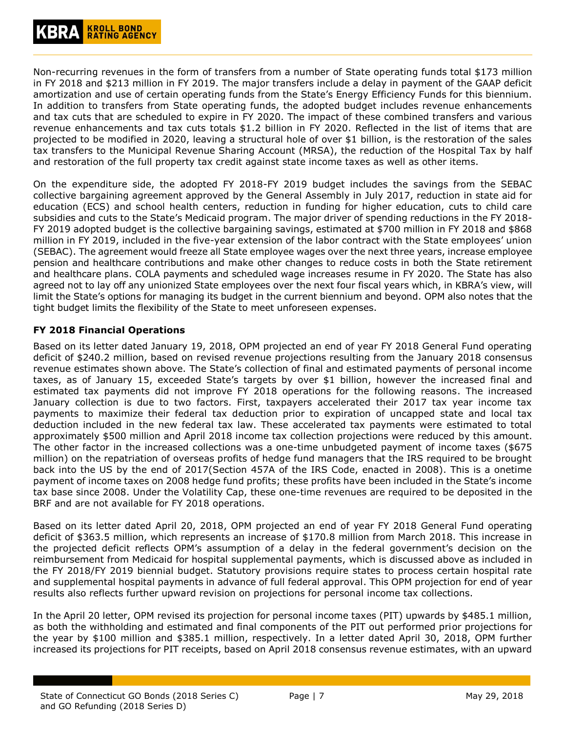Non-recurring revenues in the form of transfers from a number of State operating funds total \$173 million in FY 2018 and \$213 million in FY 2019. The major transfers include a delay in payment of the GAAP deficit amortization and use of certain operating funds from the State's Energy Efficiency Funds for this biennium. In addition to transfers from State operating funds, the adopted budget includes revenue enhancements and tax cuts that are scheduled to expire in FY 2020. The impact of these combined transfers and various revenue enhancements and tax cuts totals \$1.2 billion in FY 2020. Reflected in the list of items that are projected to be modified in 2020, leaving a structural hole of over \$1 billion, is the restoration of the sales tax transfers to the Municipal Revenue Sharing Account (MRSA), the reduction of the Hospital Tax by half and restoration of the full property tax credit against state income taxes as well as other items.

On the expenditure side, the adopted FY 2018-FY 2019 budget includes the savings from the SEBAC collective bargaining agreement approved by the General Assembly in July 2017, reduction in state aid for education (ECS) and school health centers, reduction in funding for higher education, cuts to child care subsidies and cuts to the State's Medicaid program. The major driver of spending reductions in the FY 2018- FY 2019 adopted budget is the collective bargaining savings, estimated at \$700 million in FY 2018 and \$868 million in FY 2019, included in the five-year extension of the labor contract with the State employees' union (SEBAC). The agreement would freeze all State employee wages over the next three years, increase employee pension and healthcare contributions and make other changes to reduce costs in both the State retirement and healthcare plans. COLA payments and scheduled wage increases resume in FY 2020. The State has also agreed not to lay off any unionized State employees over the next four fiscal years which, in KBRA's view, will limit the State's options for managing its budget in the current biennium and beyond. OPM also notes that the tight budget limits the flexibility of the State to meet unforeseen expenses.

#### <span id="page-6-0"></span>**FY 2018 Financial Operations**

Based on its letter dated January 19, 2018, OPM projected an end of year FY 2018 General Fund operating deficit of \$240.2 million, based on revised revenue projections resulting from the January 2018 consensus revenue estimates shown above. The State's collection of final and estimated payments of personal income taxes, as of January 15, exceeded State's targets by over \$1 billion, however the increased final and estimated tax payments did not improve FY 2018 operations for the following reasons. The increased January collection is due to two factors. First, taxpayers accelerated their 2017 tax year income tax payments to maximize their federal tax deduction prior to expiration of uncapped state and local tax deduction included in the new federal tax law. These accelerated tax payments were estimated to total approximately \$500 million and April 2018 income tax collection projections were reduced by this amount. The other factor in the increased collections was a one-time unbudgeted payment of income taxes (\$675 million) on the repatriation of overseas profits of hedge fund managers that the IRS required to be brought back into the US by the end of 2017(Section 457A of the IRS Code, enacted in 2008). This is a onetime payment of income taxes on 2008 hedge fund profits; these profits have been included in the State's income tax base since 2008. Under the Volatility Cap, these one-time revenues are required to be deposited in the BRF and are not available for FY 2018 operations.

Based on its letter dated April 20, 2018, OPM projected an end of year FY 2018 General Fund operating deficit of \$363.5 million, which represents an increase of \$170.8 million from March 2018. This increase in the projected deficit reflects OPM's assumption of a delay in the federal government's decision on the reimbursement from Medicaid for hospital supplemental payments, which is discussed above as included in the FY 2018/FY 2019 biennial budget. Statutory provisions require states to process certain hospital rate and supplemental hospital payments in advance of full federal approval. This OPM projection for end of year results also reflects further upward revision on projections for personal income tax collections.

In the April 20 letter, OPM revised its projection for personal income taxes (PIT) upwards by \$485.1 million, as both the withholding and estimated and final components of the PIT out performed prior projections for the year by \$100 million and \$385.1 million, respectively. In a letter dated April 30, 2018, OPM further increased its projections for PIT receipts, based on April 2018 consensus revenue estimates, with an upward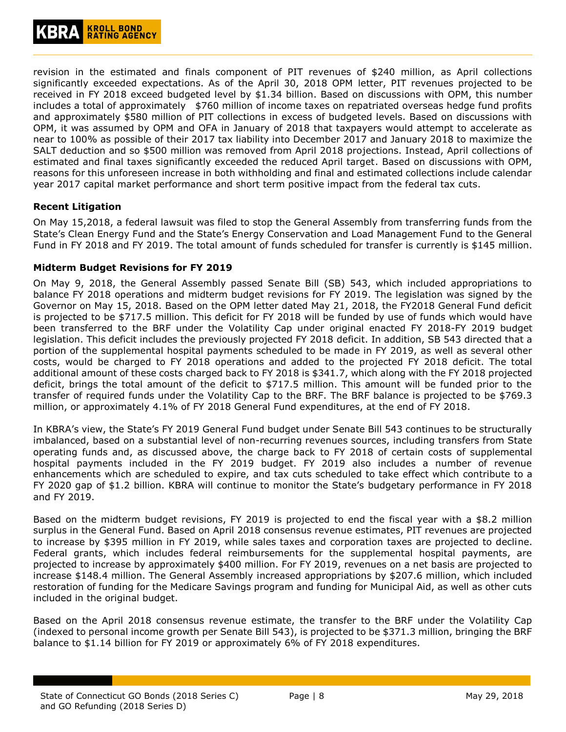revision in the estimated and finals component of PIT revenues of \$240 million, as April collections significantly exceeded expectations. As of the April 30, 2018 OPM letter, PIT revenues projected to be received in FY 2018 exceed budgeted level by \$1.34 billion. Based on discussions with OPM, this number includes a total of approximately \$760 million of income taxes on repatriated overseas hedge fund profits and approximately \$580 million of PIT collections in excess of budgeted levels. Based on discussions with OPM, it was assumed by OPM and OFA in January of 2018 that taxpayers would attempt to accelerate as near to 100% as possible of their 2017 tax liability into December 2017 and January 2018 to maximize the SALT deduction and so \$500 million was removed from April 2018 projections. Instead, April collections of estimated and final taxes significantly exceeded the reduced April target. Based on discussions with OPM, reasons for this unforeseen increase in both withholding and final and estimated collections include calendar year 2017 capital market performance and short term positive impact from the federal tax cuts.

#### <span id="page-7-0"></span>**Recent Litigation**

On May 15,2018, a federal lawsuit was filed to stop the General Assembly from transferring funds from the State's Clean Energy Fund and the State's Energy Conservation and Load Management Fund to the General Fund in FY 2018 and FY 2019. The total amount of funds scheduled for transfer is currently is \$145 million.

#### <span id="page-7-1"></span>**Midterm Budget Revisions for FY 2019**

On May 9, 2018, the General Assembly passed Senate Bill (SB) 543, which included appropriations to balance FY 2018 operations and midterm budget revisions for FY 2019. The legislation was signed by the Governor on May 15, 2018. Based on the OPM letter dated May 21, 2018, the FY2018 General Fund deficit is projected to be \$717.5 million. This deficit for FY 2018 will be funded by use of funds which would have been transferred to the BRF under the Volatility Cap under original enacted FY 2018-FY 2019 budget legislation. This deficit includes the previously projected FY 2018 deficit. In addition, SB 543 directed that a portion of the supplemental hospital payments scheduled to be made in FY 2019, as well as several other costs, would be charged to FY 2018 operations and added to the projected FY 2018 deficit. The total additional amount of these costs charged back to FY 2018 is \$341.7, which along with the FY 2018 projected deficit, brings the total amount of the deficit to \$717.5 million. This amount will be funded prior to the transfer of required funds under the Volatility Cap to the BRF. The BRF balance is projected to be \$769.3 million, or approximately 4.1% of FY 2018 General Fund expenditures, at the end of FY 2018.

In KBRA's view, the State's FY 2019 General Fund budget under Senate Bill 543 continues to be structurally imbalanced, based on a substantial level of non-recurring revenues sources, including transfers from State operating funds and, as discussed above, the charge back to FY 2018 of certain costs of supplemental hospital payments included in the FY 2019 budget. FY 2019 also includes a number of revenue enhancements which are scheduled to expire, and tax cuts scheduled to take effect which contribute to a FY 2020 gap of \$1.2 billion. KBRA will continue to monitor the State's budgetary performance in FY 2018 and FY 2019.

Based on the midterm budget revisions, FY 2019 is projected to end the fiscal year with a \$8.2 million surplus in the General Fund. Based on April 2018 consensus revenue estimates, PIT revenues are projected to increase by \$395 million in FY 2019, while sales taxes and corporation taxes are projected to decline. Federal grants, which includes federal reimbursements for the supplemental hospital payments, are projected to increase by approximately \$400 million. For FY 2019, revenues on a net basis are projected to increase \$148.4 million. The General Assembly increased appropriations by \$207.6 million, which included restoration of funding for the Medicare Savings program and funding for Municipal Aid, as well as other cuts included in the original budget.

Based on the April 2018 consensus revenue estimate, the transfer to the BRF under the Volatility Cap (indexed to personal income growth per Senate Bill 543), is projected to be \$371.3 million, bringing the BRF balance to \$1.14 billion for FY 2019 or approximately 6% of FY 2018 expenditures.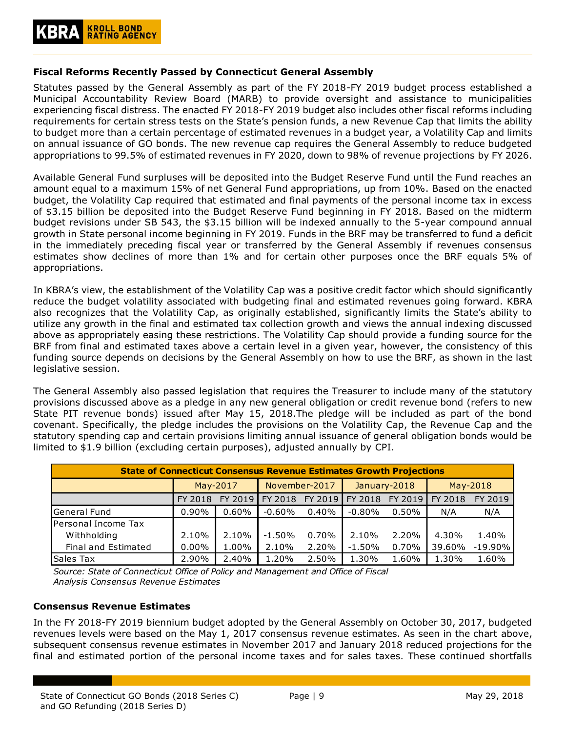#### <span id="page-8-0"></span>**Fiscal Reforms Recently Passed by Connecticut General Assembly**

Statutes passed by the General Assembly as part of the FY 2018-FY 2019 budget process established a Municipal Accountability Review Board (MARB) to provide oversight and assistance to municipalities experiencing fiscal distress. The enacted FY 2018-FY 2019 budget also includes other fiscal reforms including requirements for certain stress tests on the State's pension funds, a new Revenue Cap that limits the ability to budget more than a certain percentage of estimated revenues in a budget year, a Volatility Cap and limits on annual issuance of GO bonds. The new revenue cap requires the General Assembly to reduce budgeted appropriations to 99.5% of estimated revenues in FY 2020, down to 98% of revenue projections by FY 2026.

Available General Fund surpluses will be deposited into the Budget Reserve Fund until the Fund reaches an amount equal to a maximum 15% of net General Fund appropriations, up from 10%. Based on the enacted budget, the Volatility Cap required that estimated and final payments of the personal income tax in excess of \$3.15 billion be deposited into the Budget Reserve Fund beginning in FY 2018. Based on the midterm budget revisions under SB 543, the \$3.15 billion will be indexed annually to the 5-year compound annual growth in State personal income beginning in FY 2019. Funds in the BRF may be transferred to fund a deficit in the immediately preceding fiscal year or transferred by the General Assembly if revenues consensus estimates show declines of more than 1% and for certain other purposes once the BRF equals 5% of appropriations.

In KBRA's view, the establishment of the Volatility Cap was a positive credit factor which should significantly reduce the budget volatility associated with budgeting final and estimated revenues going forward. KBRA also recognizes that the Volatility Cap, as originally established, significantly limits the State's ability to utilize any growth in the final and estimated tax collection growth and views the annual indexing discussed above as appropriately easing these restrictions. The Volatility Cap should provide a funding source for the BRF from final and estimated taxes above a certain level in a given year, however, the consistency of this funding source depends on decisions by the General Assembly on how to use the BRF, as shown in the last legislative session.

The General Assembly also passed legislation that requires the Treasurer to include many of the statutory provisions discussed above as a pledge in any new general obligation or credit revenue bond (refers to new State PIT revenue bonds) issued after May 15, 2018.The pledge will be included as part of the bond covenant. Specifically, the pledge includes the provisions on the Volatility Cap, the Revenue Cap and the statutory spending cap and certain provisions limiting annual issuance of general obligation bonds would be limited to \$1.9 billion (excluding certain purposes), adjusted annually by CPI.

| <b>State of Connecticut Consensus Revenue Estimates Growth Projections</b> |          |         |               |          |              |          |                 |           |  |  |
|----------------------------------------------------------------------------|----------|---------|---------------|----------|--------------|----------|-----------------|-----------|--|--|
|                                                                            | May-2017 |         | November-2017 |          | January-2018 |          | May-2018        |           |  |  |
|                                                                            | FY 2018  | FY 2019 | FY 2018       | FY 2019  | FY 2018      | FY 2019  | <b>IFY 2018</b> | FY 2019   |  |  |
| General Fund                                                               | $0.90\%$ | 0.60%   | $-0.60\%$     | $0.40\%$ | $-0.80%$     | $0.50\%$ | N/A             | N/A       |  |  |
| Personal Income Tax                                                        |          |         |               |          |              |          |                 |           |  |  |
| Withholding                                                                | 2.10%    | 2.10%   | $-1.50%$      | 0.70%    | 2.10%        | 2.20%    | 4.30%           | 1.40%     |  |  |
| Final and Estimated                                                        | $0.00\%$ | 1.00%   | 2.10%         | 2.20%    | $-1.50%$     | 0.70%    | 39.60%          | $-19.90%$ |  |  |
| Sales Tax                                                                  | 2.90%    | 2.40%   | 1.20%         | 2.50%    | 1.30%        | 1.60%    | 1.30%           | 1.60%     |  |  |

*Source: State of Connecticut Office of Policy and Management and Office of Fiscal Analysis Consensus Revenue Estimates*

#### <span id="page-8-1"></span>**Consensus Revenue Estimates**

In the FY 2018-FY 2019 biennium budget adopted by the General Assembly on October 30, 2017, budgeted revenues levels were based on the May 1, 2017 consensus revenue estimates. As seen in the chart above, subsequent consensus revenue estimates in November 2017 and January 2018 reduced projections for the final and estimated portion of the personal income taxes and for sales taxes. These continued shortfalls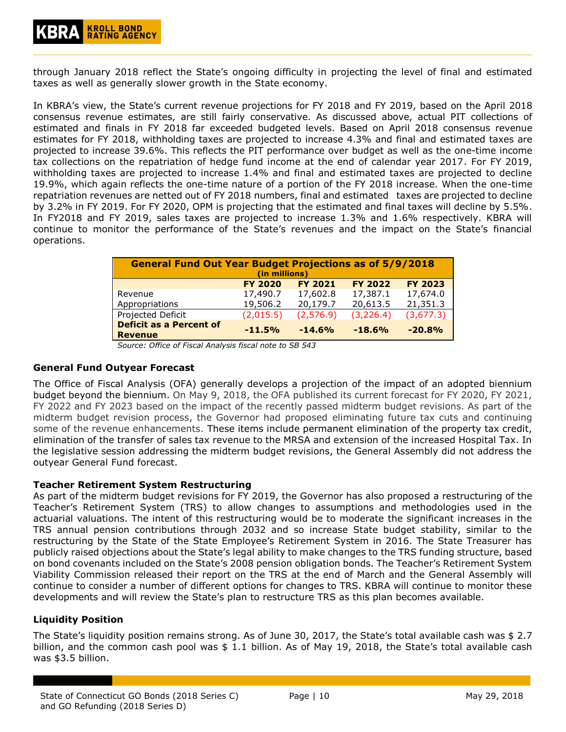through January 2018 reflect the State's ongoing difficulty in projecting the level of final and estimated taxes as well as generally slower growth in the State economy.

In KBRA's view, the State's current revenue projections for FY 2018 and FY 2019, based on the April 2018 consensus revenue estimates, are still fairly conservative. As discussed above, actual PIT collections of estimated and finals in FY 2018 far exceeded budgeted levels. Based on April 2018 consensus revenue estimates for FY 2018, withholding taxes are projected to increase 4.3% and final and estimated taxes are projected to increase 39.6%. This reflects the PIT performance over budget as well as the one-time income tax collections on the repatriation of hedge fund income at the end of calendar year 2017. For FY 2019, withholding taxes are projected to increase 1.4% and final and estimated taxes are projected to decline 19.9%, which again reflects the one-time nature of a portion of the FY 2018 increase. When the one-time repatriation revenues are netted out of FY 2018 numbers, final and estimated taxes are projected to decline by 3.2% in FY 2019. For FY 2020, OPM is projecting that the estimated and final taxes will decline by 5.5%. In FY2018 and FY 2019, sales taxes are projected to increase 1.3% and 1.6% respectively. KBRA will continue to monitor the performance of the State's revenues and the impact on the State's financial operations.

| <b>General Fund Out Year Budget Projections as of 5/9/2018</b><br>(in millions)                  |           |           |            |           |  |  |  |  |  |  |
|--------------------------------------------------------------------------------------------------|-----------|-----------|------------|-----------|--|--|--|--|--|--|
| <b>FY 2023</b><br><b>FY 2020</b><br><b>FY 2022</b><br><b>FY 2021</b>                             |           |           |            |           |  |  |  |  |  |  |
| Revenue                                                                                          | 17,490.7  | 17,602.8  | 17,387.1   | 17,674.0  |  |  |  |  |  |  |
| Appropriations                                                                                   | 19,506.2  | 20,179.7  | 20,613.5   | 21,351.3  |  |  |  |  |  |  |
| Projected Deficit                                                                                | (2,015.5) | (2,576.9) | (3, 226.4) | (3,677.3) |  |  |  |  |  |  |
| <b>Deficit as a Percent of</b><br>$-20.8%$<br>$-14.6%$<br>$-18.6%$<br>$-11.5%$<br><b>Revenue</b> |           |           |            |           |  |  |  |  |  |  |

*Source: Office of Fiscal Analysis fiscal note to SB 543*

#### <span id="page-9-0"></span>**General Fund Outyear Forecast**

The Office of Fiscal Analysis (OFA) generally develops a projection of the impact of an adopted biennium budget beyond the biennium. On May 9, 2018, the OFA published its current forecast for FY 2020, FY 2021, FY 2022 and FY 2023 based on the impact of the recently passed midterm budget revisions. As part of the midterm budget revision process, the Governor had proposed eliminating future tax cuts and continuing some of the revenue enhancements. These items include permanent elimination of the property tax credit, elimination of the transfer of sales tax revenue to the MRSA and extension of the increased Hospital Tax. In the legislative session addressing the midterm budget revisions, the General Assembly did not address the outyear General Fund forecast.

#### **Teacher Retirement System Restructuring**

As part of the midterm budget revisions for FY 2019, the Governor has also proposed a restructuring of the Teacher's Retirement System (TRS) to allow changes to assumptions and methodologies used in the actuarial valuations. The intent of this restructuring would be to moderate the significant increases in the TRS annual pension contributions through 2032 and so increase State budget stability, similar to the restructuring by the State of the State Employee's Retirement System in 2016. The State Treasurer has publicly raised objections about the State's legal ability to make changes to the TRS funding structure, based on bond covenants included on the State's 2008 pension obligation bonds. The Teacher's Retirement System Viability Commission released their report on the TRS at the end of March and the General Assembly will continue to consider a number of different options for changes to TRS. KBRA will continue to monitor these developments and will review the State's plan to restructure TRS as this plan becomes available.

#### <span id="page-9-1"></span>**Liquidity Position**

The State's liquidity position remains strong. As of June 30, 2017, the State's total available cash was \$ 2.7 billion, and the common cash pool was  $$1.1$  billion. As of May 19, 2018, the State's total available cash was \$3.5 billion.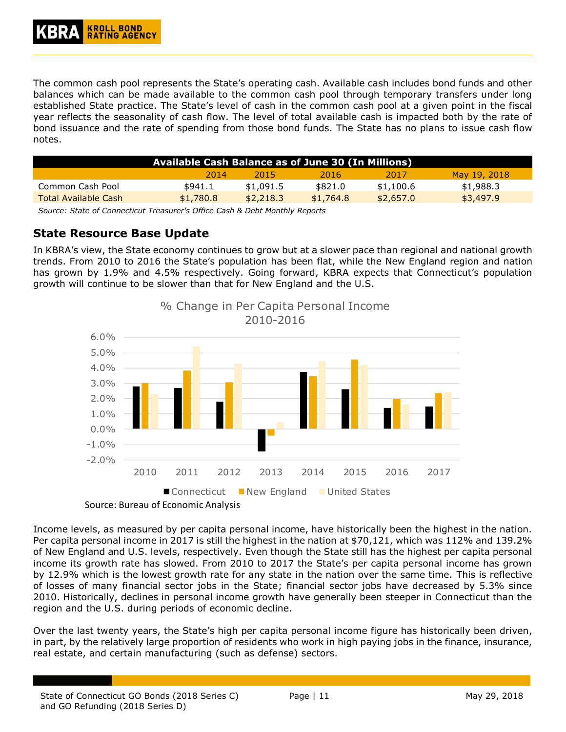The common cash pool represents the State's operating cash. Available cash includes bond funds and other balances which can be made available to the common cash pool through temporary transfers under long established State practice. The State's level of cash in the common cash pool at a given point in the fiscal year reflects the seasonality of cash flow. The level of total available cash is impacted both by the rate of bond issuance and the rate of spending from those bond funds. The State has no plans to issue cash flow notes.

| Available Cash Balance as of June 30 (In Millions) |           |           |           |           |              |  |  |  |  |
|----------------------------------------------------|-----------|-----------|-----------|-----------|--------------|--|--|--|--|
|                                                    | 2014      | 2015      | 2016      | 2017      | May 19, 2018 |  |  |  |  |
| Common Cash Pool                                   | \$941.1   | \$1,091.5 | \$821.0   | \$1,100.6 | \$1,988.3    |  |  |  |  |
| <b>Total Available Cash</b>                        | \$1,780.8 | \$2,218.3 | \$1,764.8 | \$2.657.0 | \$3,497.9    |  |  |  |  |

*Source: State of Connecticut Treasurer's Office Cash & Debt Monthly Reports*

# <span id="page-10-0"></span>**State Resource Base Update**

In KBRA's view, the State economy continues to grow but at a slower pace than regional and national growth trends. From 2010 to 2016 the State's population has been flat, while the New England region and nation has grown by 1.9% and 4.5% respectively. Going forward, KBRA expects that Connecticut's population growth will continue to be slower than that for New England and the U.S.



Source: Bureau of Economic Analysis

Income levels, as measured by per capita personal income, have historically been the highest in the nation. Per capita personal income in 2017 is still the highest in the nation at \$70,121, which was 112% and 139.2% of New England and U.S. levels, respectively. Even though the State still has the highest per capita personal income its growth rate has slowed. From 2010 to 2017 the State's per capita personal income has grown by 12.9% which is the lowest growth rate for any state in the nation over the same time. This is reflective of losses of many financial sector jobs in the State; financial sector jobs have decreased by 5.3% since 2010. Historically, declines in personal income growth have generally been steeper in Connecticut than the region and the U.S. during periods of economic decline.

Over the last twenty years, the State's high per capita personal income figure has historically been driven, in part, by the relatively large proportion of residents who work in high paying jobs in the finance, insurance, real estate, and certain manufacturing (such as defense) sectors.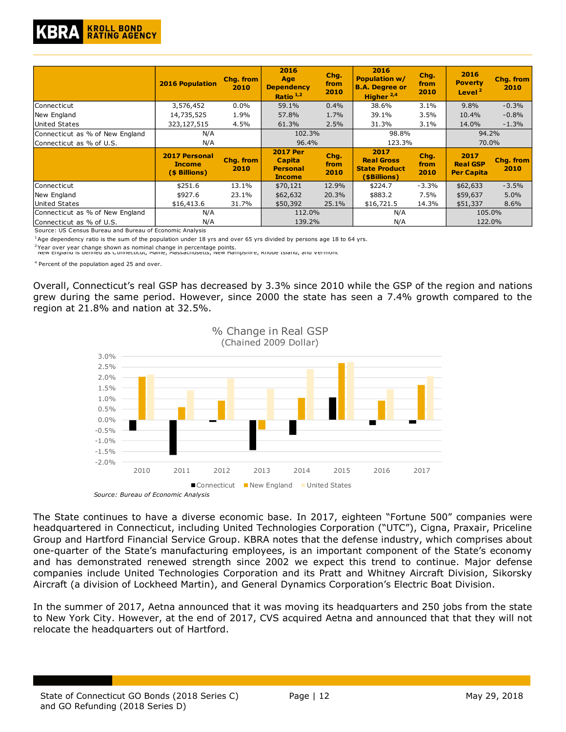

|                                                             | <b>2016 Population</b>                                 | Chg. from<br>2010 | 2016<br>Age<br><b>Dependency</b><br>Ratio <sup>1,2</sup>             | Chg.<br>from<br>2010 | 2016<br><b>Population w/</b><br><b>B.A. Degree or</b><br>Higher <sup>2,4</sup> | Chq.<br>from<br>2010 | 2016<br><b>Poverty</b><br>Level <sup>2</sup> | <b>Chg. from</b><br>2010 |
|-------------------------------------------------------------|--------------------------------------------------------|-------------------|----------------------------------------------------------------------|----------------------|--------------------------------------------------------------------------------|----------------------|----------------------------------------------|--------------------------|
| Connecticut                                                 | 3,576,452                                              | 0.0%              | 59.1%                                                                | 0.4%                 | 38.6%                                                                          | 3.1%                 | 9.8%                                         | $-0.3%$                  |
| New England                                                 | 14,735,525                                             | 1.9%              | 57.8%                                                                | 1.7%                 | 39.1%                                                                          | 3.5%                 | 10.4%                                        | $-0.8%$                  |
| <b>United States</b>                                        | 323,127,515                                            | 4.5%              | 61.3%                                                                | 2.5%                 | 31.3%                                                                          | 3.1%                 | 14.0%                                        | $-1.3%$                  |
| Connecticut as % of New England                             | N/A                                                    |                   | 102.3%                                                               |                      | 98.8%                                                                          |                      | 94.2%                                        |                          |
| Connecticut as % of U.S.                                    | N/A                                                    |                   | 96.4%                                                                |                      | 123.3%                                                                         |                      | 70.0%                                        |                          |
|                                                             | <b>2017 Personal</b><br><b>Income</b><br>(\$ Billions) | Chq. from<br>2010 | <b>2017 Per</b><br><b>Capita</b><br><b>Personal</b><br><b>Income</b> | Chg.<br>from<br>2010 | 2017<br><b>Real Gross</b><br><b>State Product</b><br>(\$Billions)              | Chq.<br>from<br>2010 | 2017<br><b>Real GSP</b><br><b>Per Capita</b> | <b>Chg. from</b><br>2010 |
| Connecticut                                                 | \$251.6                                                | 13.1%             | \$70,121                                                             | 12.9%                | \$224.7                                                                        | $-3.3%$              | \$62,633                                     | $-3.5%$                  |
| New England                                                 | \$927.6                                                | 23.1%             | \$62,632                                                             | 20.3%                | \$883.2                                                                        | 7.5%                 | \$59,637                                     | 5.0%                     |
| United States                                               | \$16,413.6                                             | 31.7%             | \$50,392                                                             | 25.1%                | \$16,721.5                                                                     | 14.3%                | \$51,337                                     | 8.6%                     |
| Connecticut as % of New England<br>Connecticut as % of U.S. | N/A<br>N/A                                             |                   | 112.0%<br>139.2%                                                     |                      | N/A<br>N/A                                                                     |                      | 105.0%<br>122.0%                             |                          |

Source: US Census Bureau and Bureau of Economic Analysis

 $1$ Age dependency ratio is the sum of the population under 18 yrs and over 65 yrs divided by persons age 18 to 64 yrs.

<sup>2</sup>Year over year change shown as nominal change in percentage points.<br><sup>-</sup> New England is defined as Connecticut, Maine, Massacnusetts, New Hampshire, Knode Island, and Vermont

4 Percent of the population aged 25 and over.

Overall, Connecticut's real GSP has decreased by 3.3% since 2010 while the GSP of the region and nations grew during the same period. However, since 2000 the state has seen a 7.4% growth compared to the region at 21.8% and nation at 32.5%.



*Source: Bureau of Economic Analysis*

The State continues to have a diverse economic base. In 2017, eighteen "Fortune 500" companies were headquartered in Connecticut, including United Technologies Corporation ("UTC"), Cigna, Praxair, Priceline Group and Hartford Financial Service Group. KBRA notes that the defense industry, which comprises about one-quarter of the State's manufacturing employees, is an important component of the State's economy and has demonstrated renewed strength since 2002 we expect this trend to continue. Major defense companies include United Technologies Corporation and its Pratt and Whitney Aircraft Division, Sikorsky Aircraft (a division of Lockheed Martin), and General Dynamics Corporation's Electric Boat Division.

In the summer of 2017, Aetna announced that it was moving its headquarters and 250 jobs from the state to New York City. However, at the end of 2017, CVS acquired Aetna and announced that that they will not relocate the headquarters out of Hartford.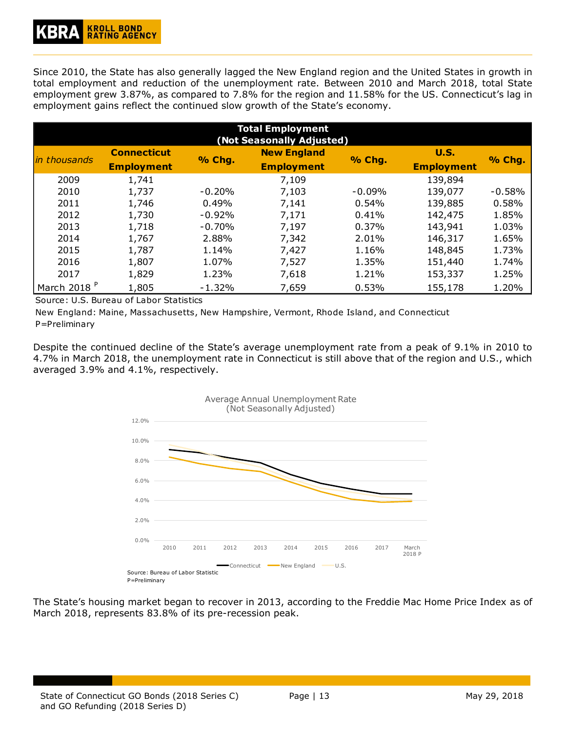Since 2010, the State has also generally lagged the New England region and the United States in growth in total employment and reduction of the unemployment rate. Between 2010 and March 2018, total State employment grew 3.87%, as compared to 7.8% for the region and 11.58% for the US. Connecticut's lag in employment gains reflect the continued slow growth of the State's economy.

| <b>Total Employment</b><br>(Not Seasonally Adjusted) |                    |          |                                         |          |                   |          |  |  |  |
|------------------------------------------------------|--------------------|----------|-----------------------------------------|----------|-------------------|----------|--|--|--|
| <i>in thousands</i>                                  | <b>Connecticut</b> | % Chg.   | <b>New England</b><br><b>Employment</b> | % Chg.   | <b>U.S.</b>       | % Chg.   |  |  |  |
|                                                      | <b>Employment</b>  |          |                                         |          | <b>Employment</b> |          |  |  |  |
| 2009                                                 | 1,741              |          | 7,109                                   |          | 139,894           |          |  |  |  |
| 2010                                                 | 1,737              | $-0.20%$ | 7,103                                   | $-0.09%$ | 139,077           | $-0.58%$ |  |  |  |
| 2011                                                 | 1,746              | 0.49%    | 7,141                                   | 0.54%    | 139,885           | 0.58%    |  |  |  |
| 2012                                                 | 1,730              | $-0.92%$ | 7,171                                   | 0.41%    | 142,475           | 1.85%    |  |  |  |
| 2013                                                 | 1,718              | $-0.70%$ | 7,197                                   | 0.37%    | 143,941           | 1.03%    |  |  |  |
| 2014                                                 | 1,767              | 2.88%    | 7,342                                   | 2.01%    | 146,317           | 1.65%    |  |  |  |
| 2015                                                 | 1,787              | 1.14%    | 7,427                                   | 1.16%    | 148,845           | 1.73%    |  |  |  |
| 2016                                                 | 1,807              | 1.07%    | 7,527                                   | 1.35%    | 151,440           | 1.74%    |  |  |  |
| 2017                                                 | 1,829              | 1.23%    | 7,618                                   | 1.21%    | 153,337           | 1.25%    |  |  |  |
| March 2018 <sup>P</sup>                              | 1,805              | $-1.32%$ | 7,659                                   | 0.53%    | 155,178           | 1.20%    |  |  |  |

Source: U.S. Bureau of Labor Statistics

New England: Maine, Massachusetts, New Hampshire, Vermont, Rhode Island, and Connecticut P=Preliminary

Despite the continued decline of the State's average unemployment rate from a peak of 9.1% in 2010 to 4.7% in March 2018, the unemployment rate in Connecticut is still above that of the region and U.S., which averaged 3.9% and 4.1%, respectively.



The State's housing market began to recover in 2013, according to the Freddie Mac Home Price Index as of March 2018, represents 83.8% of its pre-recession peak.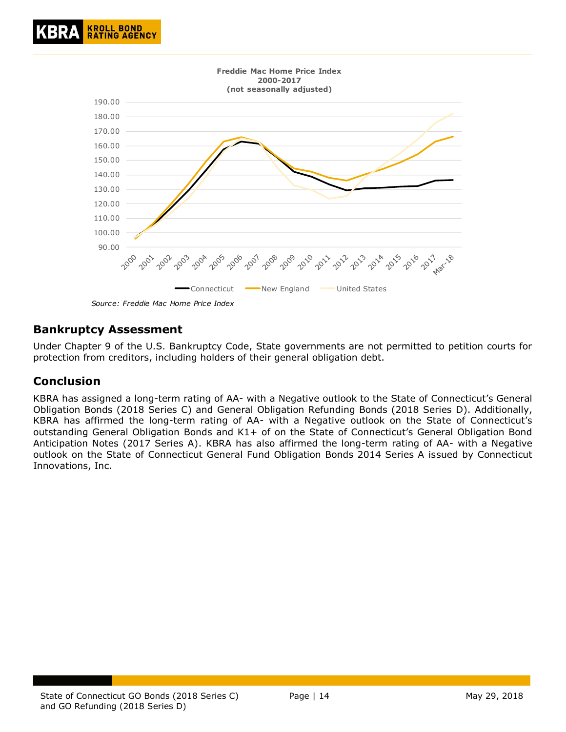



*Source: Freddie Mac Home Price Index*

# <span id="page-13-0"></span>**Bankruptcy Assessment**

Under Chapter 9 of the U.S. Bankruptcy Code, State governments are not permitted to petition courts for protection from creditors, including holders of their general obligation debt.

#### <span id="page-13-1"></span>**Conclusion**

KBRA has assigned a long-term rating of AA- with a Negative outlook to the State of Connecticut's General Obligation Bonds (2018 Series C) and General Obligation Refunding Bonds (2018 Series D). Additionally, KBRA has affirmed the long-term rating of AA- with a Negative outlook on the State of Connecticut's outstanding General Obligation Bonds and K1+ of on the State of Connecticut's General Obligation Bond Anticipation Notes (2017 Series A). KBRA has also affirmed the long-term rating of AA- with a Negative outlook on the State of Connecticut General Fund Obligation Bonds 2014 Series A issued by Connecticut Innovations, Inc.